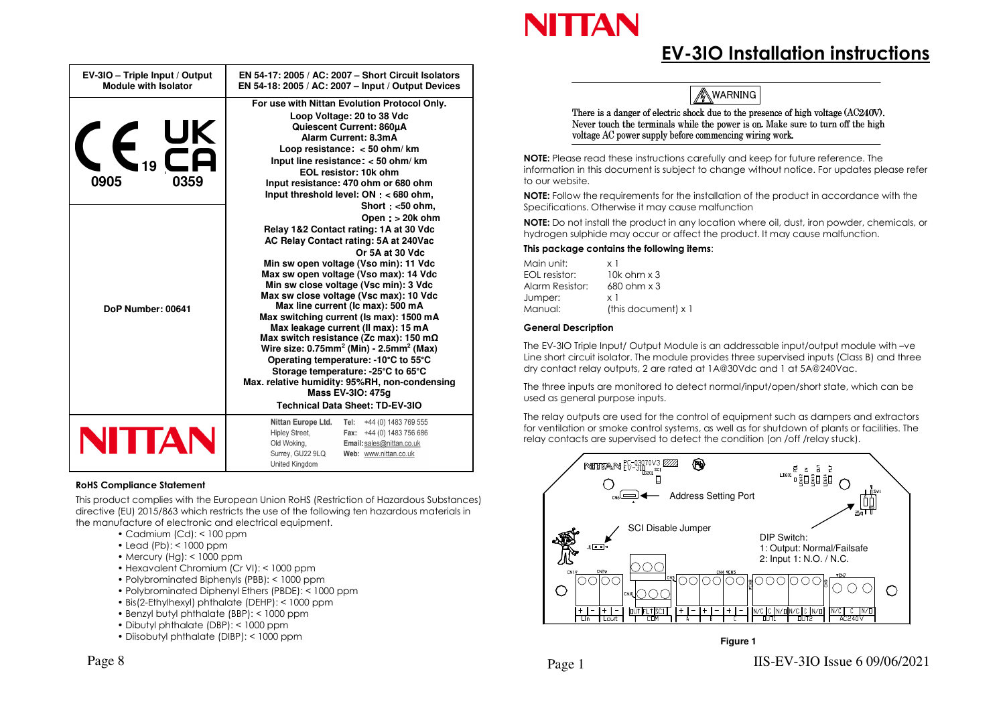

## **EV-3IO Installation instructions**

**AWARNING** 

There is a danger of electric shock due to the presence of high voltage (AC240V). Never touch the terminals while the power is on. Make sure to turn off the high voltage AC power supply before commencing wiring work.

**NOTE:** Please read these instructions carefully and keep for future reference. The information in this document is subject to change without notice. For updates please refer to our website.

**NOTE:** Follow the requirements for the installation of the product in accordance with the Specifications. Otherwise it may cause malfunction

**NOTE:** Do not install the product in any location where oil, dust, iron powder, chemicals, or hydrogen sulphide may occur or affect the product. It may cause malfunction.

#### **This package contains the following items**:

| x 1                        |
|----------------------------|
| $10k$ ohm $\times$ 3       |
| $680$ ohm $\times$ 3       |
| x 1                        |
| (this document) $\times$ 1 |
|                            |

#### **General Description**

The EV-3IO Triple Input/ Output Module is an addressable input/output module with –ve Line short circuit isolator. The module provides three supervised inputs (Class B) and three dry contact relay outputs, 2 are rated at 1A@30Vdc and 1 at 5A@240Vac.

The three inputs are monitored to detect normal/input/open/short state, which can be used as general purpose inputs.

The relay outputs are used for the control of equipment such as dampers and extractors for ventilation or smoke control systems, as well as for shutdown of plants or facilities. The relay contacts are supervised to detect the condition (on /off /relay stuck).



#### **Figure 1**

| $\sum_{19}$<br>0905<br>0359<br>DoP Number: 00641 | <b>Quiescent Current: 860uA</b><br>Alarm Current: 8.3mA<br>Loop resistance $\lt$ 50 ohm/km<br>Input line resistance: $<$ 50 ohm/km<br>EOL resistor: 10k ohm<br>Input resistance: 470 ohm or 680 ohm<br>Input threshold level: $ON < 680$ ohm,<br>Short <50 ohm,<br>Open: > 20k ohm<br>Relay 1&2 Contact rating: 1A at 30 Vdc<br>AC Relay Contact rating: 5A at 240Vac<br>Or 5A at 30 Vdc<br>Min sw open voltage (Vso min): 11 Vdc<br>Max sw open voltage (Vso max): 14 Vdc<br>Min sw close voltage (Vsc min): 3 Vdc<br>Max sw close voltage (Vsc max): 10 Vdc<br>Max line current (Ic max): 500 mA<br>Max switching current (Is max): 1500 mA<br>Max leakage current (Il max): 15 mA<br>Max switch resistance (Zc max): 150 m $\Omega$<br>Wire size: $0.75$ mm <sup>2</sup> (Min) - $2.5$ mm <sup>2</sup> (Max)<br>Operating temperature: -10°C to 55°C<br>Storage temperature: -25°C to 65°C<br>Max. relative humidity: 95%RH, non-condensing<br>Mass EV-3IO: 475g<br><b>Technical Data Sheet: TD-EV-3IO</b> |
|--------------------------------------------------|---------------------------------------------------------------------------------------------------------------------------------------------------------------------------------------------------------------------------------------------------------------------------------------------------------------------------------------------------------------------------------------------------------------------------------------------------------------------------------------------------------------------------------------------------------------------------------------------------------------------------------------------------------------------------------------------------------------------------------------------------------------------------------------------------------------------------------------------------------------------------------------------------------------------------------------------------------------------------------------------------------------|
| NITTAN                                           | Nittan Europe Ltd.<br>+44 (0) 1483 769 555<br>Tel:<br><b>Hipley Street,</b><br>+44 (0) 1483 756 686<br>Fax:<br>Old Woking,<br>Email: sales@nittan.co.uk<br>Surrey, GU22 9LQ<br>Web: www.nittan.co.uk<br>United Kingdom                                                                                                                                                                                                                                                                                                                                                                                                                                                                                                                                                                                                                                                                                                                                                                                        |

**EN 54-17: 2005 / AC: 2007 – Short Circuit IsolatorsEN 54-18: 2005 / AC: 2007 – Input / Output Devices** 

**For use with Nittan Evolution Protocol Only.Loop Voltage: 20 to 38 Vdc** 

#### **RoHS Compliance Statement**

**EV-3IO – Triple Input / Output Module with Isolator** 

This product complies with the European Union RoHS (Restriction of Hazardous Substances) directive (EU) 2015/863 which restricts the use of the following ten hazardous materials in the manufacture of electronic and electrical equipment.

- Cadmium (Cd): < 100 ppm
- Lead (Pb): < 1000 ppm
- Mercury (Hg): < 1000 ppm
- Hexavalent Chromium (Cr VI): < 1000 ppm
- Polybrominated Biphenyls (PBB): < 1000 ppm
- Polybrominated Diphenyl Ethers (PBDE): < 1000 ppm
- Bis(2-Ethylhexyl) phthalate (DEHP): < 1000 ppm
- Benzyl butyl phthalate (BBP): < 1000 ppm
- Dibutyl phthalate (DBP): < 1000 ppm
- Diisobutyl phthalate (DIBP): < 1000 ppm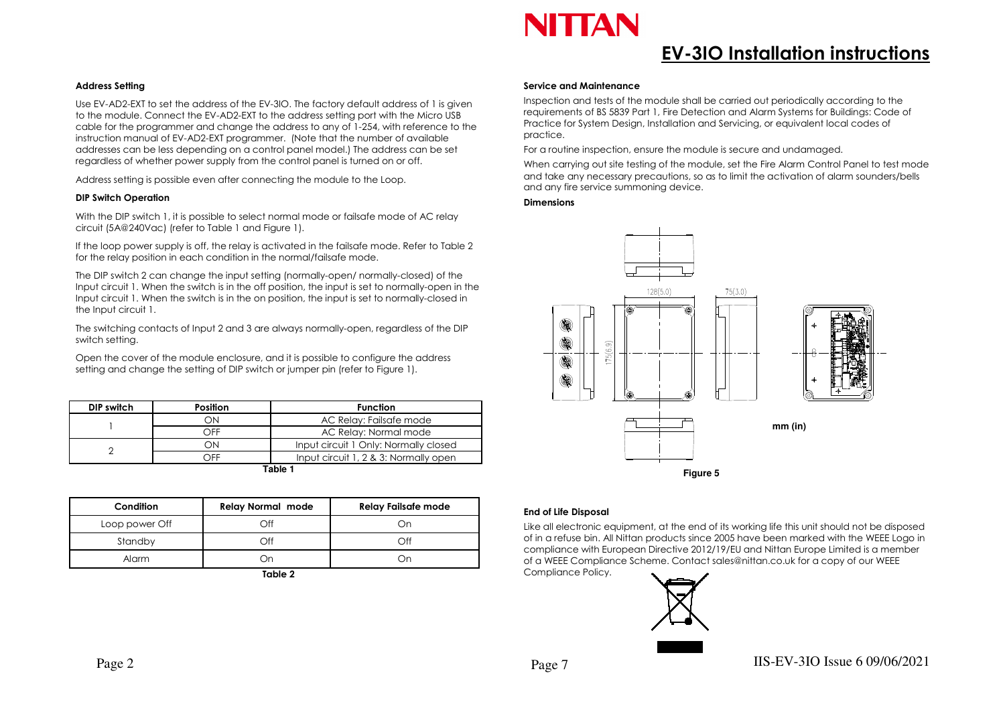

## **EV-3IO Installation instructions**

#### **Address Setting**

Use EV-AD2-EXT to set the address of the EV-3IO. The factory default address of 1 is given to the module. Connect the EV-AD2-EXT to the address setting port with the Micro USB cable for the programmer and change the address to any of 1-254, with reference to the instruction manual of EV-AD2-EXT programmer. (Note that the number of available addresses can be less depending on a control panel model.) The address can be set regardless of whether power supply from the control panel is turned on or off.

Address setting is possible even after connecting the module to the Loop.

#### **DIP Switch Operation**

With the DIP switch 1, it is possible to select normal mode or failsafe mode of AC relay circuit (5A@240Vac) (refer to Table 1 and Figure 1).

If the loop power supply is off, the relay is activated in the failsafe mode. Refer to Table 2 for the relay position in each condition in the normal/failsafe mode.

The DIP switch 2 can change the input setting (normally-open/ normally-closed) of the Input circuit 1. When the switch is in the off position, the input is set to normally-open in the Input circuit 1. When the switch is in the on position, the input is set to normally-closed in the Input circuit 1.

The switching contacts of Input 2 and 3 are always normally-open, regardless of the DIP switch setting.

Open the cover of the module enclosure, and it is possible to configure the address setting and change the setting of DIP switch or jumper pin (refer to Figure 1).

| <b>DIP switch</b> | <b>Position</b> | <b>Function</b>                       |
|-------------------|-----------------|---------------------------------------|
|                   | ЭN              | AC Relay: Failsafe mode               |
|                   | つFF             | AC Relay: Normal mode                 |
|                   | ЭN              | Input circuit 1 Only: Normally closed |
|                   | ۱FF             | Input circuit 1, 2 & 3: Normally open |

**Table 1** 

| Condition      | <b>Relay Normal mode</b> | <b>Relay Failsafe mode</b> |  |  |
|----------------|--------------------------|----------------------------|--|--|
| Loop power Off | ⊃ff                      | Эr                         |  |  |
| Standby        | Off                      | ∩ff                        |  |  |
| Alarm          | )n                       | Эr                         |  |  |
| $T = L_1 - R$  |                          |                            |  |  |

**Table 2** 

#### **Service and Maintenance**

Inspection and tests of the module shall be carried out periodically according to the requirements of BS 5839 Part 1, Fire Detection and Alarm Systems for Buildings: Code of Practice for System Design, Installation and Servicing, or equivalent local codes of practice.

For a routine inspection, ensure the module is secure and undamaged.

When carrying out site testing of the module, set the Fire Alarm Control Panel to test mode and take any necessary precautions, so as to limit the activation of alarm sounders/bells and any fire service summoning device.

#### **Dimensions**



#### **End of Life Disposal**

Like all electronic equipment, at the end of its working life this unit should not be disposed of in a refuse bin. All Nittan products since 2005 have been marked with the WEEE Logo in compliance with European Directive 2012/19/EU and Nittan Europe Limited is a member of a WEEE Compliance Scheme. Contact sales@nittan.co.uk for a copy of our WEEE Compliance Policy.

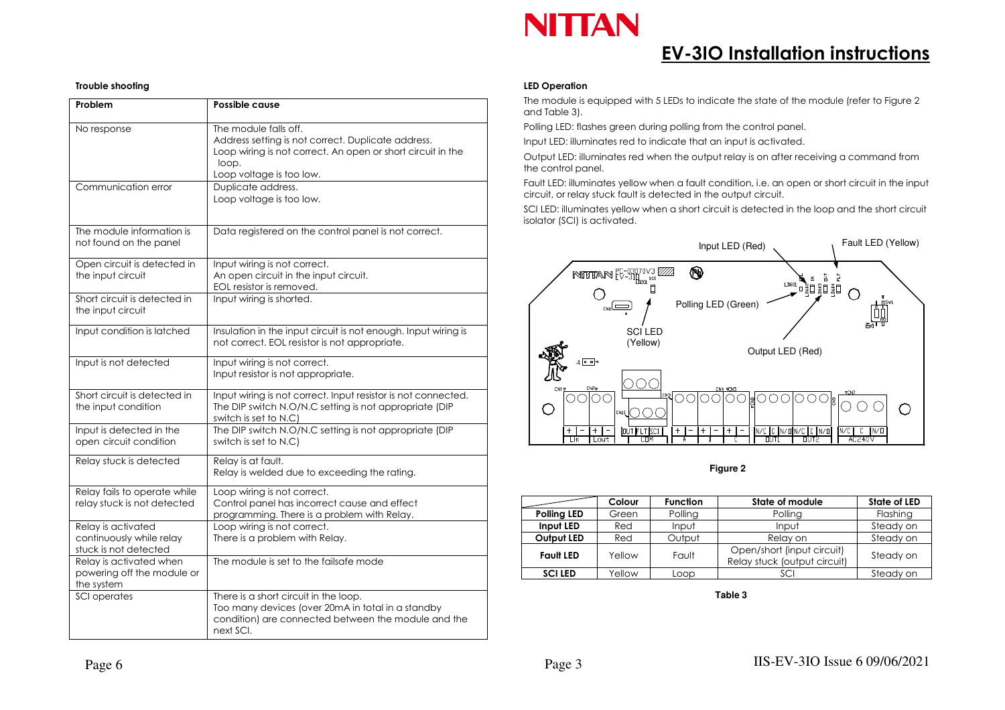

## **EV-3IO Installation instructions**

#### **Trouble shooting**

| Problem                                                                 | Possible cause                                                                                                                                                                  |  |  |
|-------------------------------------------------------------------------|---------------------------------------------------------------------------------------------------------------------------------------------------------------------------------|--|--|
| No response                                                             | The module falls off.<br>Address setting is not correct. Duplicate address.<br>Loop wiring is not correct. An open or short circuit in the<br>loop.<br>Loop voltage is too low. |  |  |
| Communication error                                                     | Duplicate address.<br>Loop voltage is too low.                                                                                                                                  |  |  |
| The module information is<br>not found on the panel                     | Data registered on the control panel is not correct.                                                                                                                            |  |  |
| Open circuit is detected in<br>the input circuit                        | Input wiring is not correct.<br>An open circuit in the input circuit.<br>EOL resistor is removed.                                                                               |  |  |
| Short circuit is detected in<br>the input circuit                       | Input wiring is shorted.                                                                                                                                                        |  |  |
| Input condition is latched                                              | Insulation in the input circuit is not enough. Input wiring is<br>not correct. EOL resistor is not appropriate.                                                                 |  |  |
| Input is not detected                                                   | Input wiring is not correct.<br>Input resistor is not appropriate.                                                                                                              |  |  |
| Short circuit is detected in<br>the input condition                     | Input wiring is not correct. Input resistor is not connected.<br>The DIP switch N.O/N.C setting is not appropriate (DIP<br>switch is set to N.C)                                |  |  |
| Input is detected in the<br>open circuit condition                      | The DIP switch N.O/N.C setting is not appropriate (DIP<br>switch is set to N.C)                                                                                                 |  |  |
| Relay stuck is detected                                                 | Relay is at fault.<br>Relay is welded due to exceeding the rating.                                                                                                              |  |  |
| Relay fails to operate while<br>relay stuck is not detected             | Loop wiring is not correct.<br>Control panel has incorrect cause and effect<br>programming. There is a problem with Relay.                                                      |  |  |
| Relay is activated<br>continuously while relay<br>stuck is not detected | Loop wiring is not correct.<br>There is a problem with Relay.                                                                                                                   |  |  |
| Relay is activated when<br>powering off the module or<br>the system     | The module is set to the failsafe mode                                                                                                                                          |  |  |
| SCI operates                                                            | There is a short circuit in the loop.<br>Too many devices (over 20mA in total in a standby<br>condition) are connected between the module and the<br>next SCI.                  |  |  |

#### **LED Operation**

The module is equipped with 5 LEDs to indicate the state of the module (refer to Figure 2 and Table 3).

Polling LED: flashes green during polling from the control panel.

Input LED: illuminates red to indicate that an input is activated.

Output LED: illuminates red when the output relay is on after receiving a command from the control panel.

Fault LED: illuminates yellow when a fault condition, i.e. an open or short circuit in the input circuit, or relay stuck fault is detected in the output circuit.

SCI LED: illuminates yellow when a short circuit is detected in the loop and the short circuit isolator (SCI) is activated.



**Figure 2** 

|                    | Colour | <b>Function</b> | State of module                                            | <b>State of LED</b> |
|--------------------|--------|-----------------|------------------------------------------------------------|---------------------|
| <b>Polling LED</b> | Green  | Polling         | Polling                                                    | Flashing            |
| Input LED          | Red    | Input           | Input                                                      | Steady on           |
| Output LED         | Red    | Output          | Relay on                                                   | Steady on           |
| <b>Fault LED</b>   | Yellow | Fault           | Open/short (input circuit)<br>Relay stuck (output circuit) | Steady on           |
| <b>SCILED</b>      | Yellow | Loop            | SCI                                                        | Steady on           |

**Table 3**